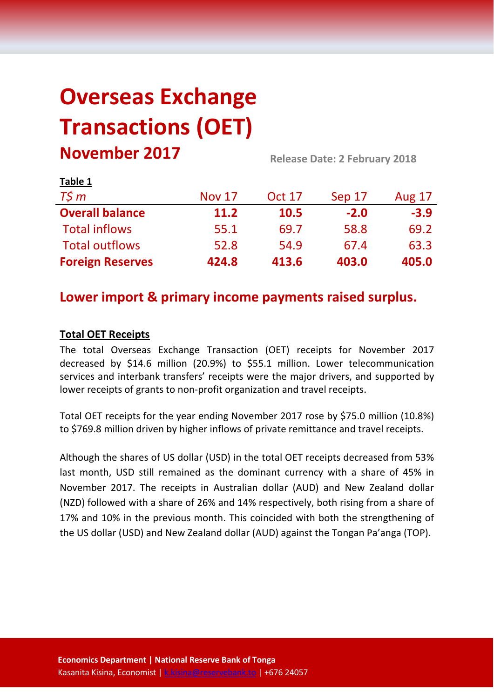# **Overseas Exchange Transactions (OET) November 2017 Release Date: 2 February <sup>2018</sup>**

| <b>LANIC T</b>          |               |               |        |               |  |
|-------------------------|---------------|---------------|--------|---------------|--|
| $T\zeta m$              | <b>Nov 17</b> | <b>Oct 17</b> | Sep 17 | <b>Aug 17</b> |  |
| <b>Overall balance</b>  | <b>11.2</b>   | 10.5          | $-2.0$ | $-3.9$        |  |
| <b>Total inflows</b>    | 55.1          | 69.7          | 58.8   | 69.2          |  |
| <b>Total outflows</b>   | 52.8          | 54.9          | 67.4   | 63.3          |  |
| <b>Foreign Reserves</b> | 424.8         | 413.6         | 403.0  | 405.0         |  |

## **Lower import & primary income payments raised surplus.**

## **Total OET Receipts**

**Table 1**

The total Overseas Exchange Transaction (OET) receipts for November 2017 decreased by \$14.6 million (20.9%) to \$55.1 million. Lower telecommunication services and interbank transfers' receipts were the major drivers, and supported by lower receipts of grants to non-profit organization and travel receipts.

Total OET receipts for the year ending November 2017 rose by \$75.0 million (10.8%) to \$769.8 million driven by higher inflows of private remittance and travel receipts.

Although the shares of US dollar (USD) in the total OET receipts decreased from 53% last month, USD still remained as the dominant currency with a share of 45% in November 2017. The receipts in Australian dollar (AUD) and New Zealand dollar (NZD) followed with a share of 26% and 14% respectively, both rising from a share of 17% and 10% in the previous month. This coincided with both the strengthening of the US dollar (USD) and New Zealand dollar (AUD) against the Tongan Pa'anga (TOP).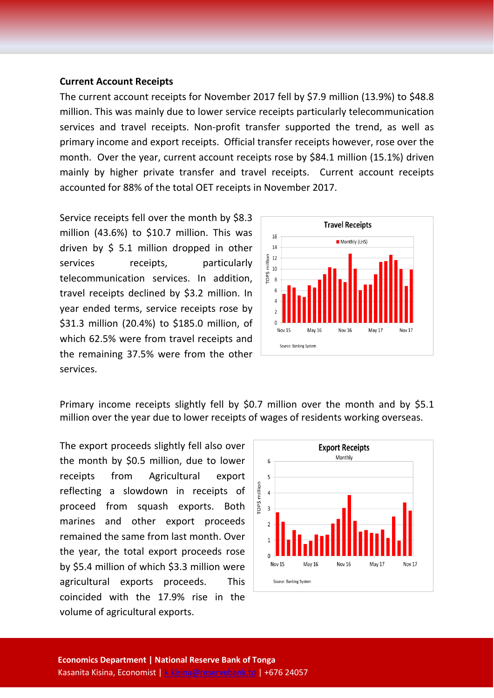#### **Current Account Receipts**

The current account receipts for November 2017 fell by \$7.9 million (13.9%) to \$48.8 million. This was mainly due to lower service receipts particularly telecommunication services and travel receipts. Non-profit transfer supported the trend, as well as primary income and export receipts. Official transfer receipts however, rose over the month. Over the year, current account receipts rose by \$84.1 million (15.1%) driven mainly by higher private transfer and travel receipts. Current account receipts accounted for 88% of the total OET receipts in November 2017.

Service receipts fell over the month by \$8.3 million (43.6%) to \$10.7 million. This was driven by \$ 5.1 million dropped in other services receipts, particularly telecommunication services. In addition, travel receipts declined by \$3.2 million. In year ended terms, service receipts rose by \$31.3 million (20.4%) to \$185.0 million, of which 62.5% were from travel receipts and the remaining 37.5% were from the other services.



Primary income receipts slightly fell by \$0.7 million over the month and by \$5.1 million over the year due to lower receipts of wages of residents working overseas.

The export proceeds slightly fell also over the month by \$0.5 million, due to lower receipts from Agricultural export reflecting a slowdown in receipts of proceed from squash exports. Both marines and other export proceeds remained the same from last month. Over the year, the total export proceeds rose by \$5.4 million of which \$3.3 million were agricultural exports proceeds. This coincided with the 17.9% rise in the volume of agricultural exports.

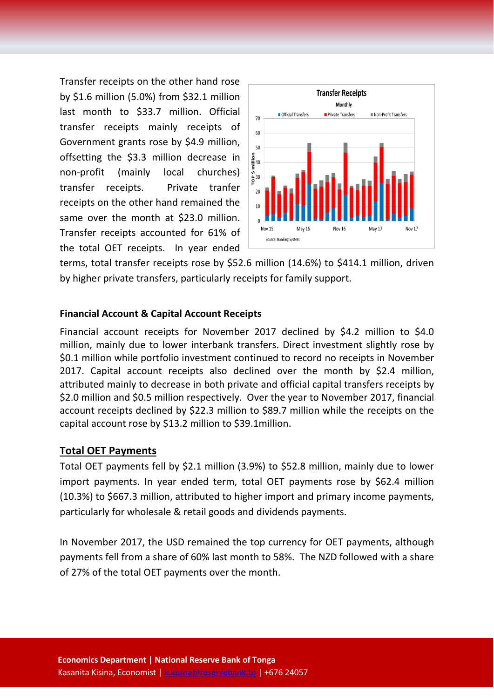Transfer receipts on the other hand rose by \$1.6 million (5.0%) from \$32.1 million last month to \$33.7 million. Official transfer receipts mainly receipts of Government grants rose by \$4.9 million, offsetting the \$3.3 million decrease in non-profit (mainly local churches) transfer receipts. Private tranfer receipts on the other hand remained the same over the month at \$23.0 million. Transfer receipts accounted for 61% of the total OET receipts. In year ended



terms, total transfer receipts rose by \$52.6 million (14.6%) to \$414.1 million, driven by higher private transfers, particularly receipts for family support.

### **Financial Account & Capital Account Receipts**

Financial account receipts for November 2017 declined by \$4.2 million to \$4.0 million, mainly due to lower interbank transfers. Direct investment slightly rose by \$0.1 million while portfolio investment continued to record no receipts in November 2017. Capital account receipts also declined over the month by \$2.4 million, attributed mainly to decrease in both private and official capital transfers receipts by \$2.0 million and \$0.5 million respectively. Over the year to November 2017, financial account receipts declined by \$22.3 million to \$89.7 million while the receipts on the capital account rose by \$13.2 million to \$39.1million.

## **Total OET Payments**

Total OET payments fell by \$2.1 million (3.9%) to \$52.8 million, mainly due to lower import payments. In year ended term, total OET payments rose by \$62.4 million (10.3%) to \$667.3 million, attributed to higher import and primary income payments, particularly for wholesale & retail goods and dividends payments.

In November 2017, the USD remained the top currency for OET payments, although payments fell from a share of 60% last month to 58%. The NZD followed with a share of 27% of the total OET payments over the month.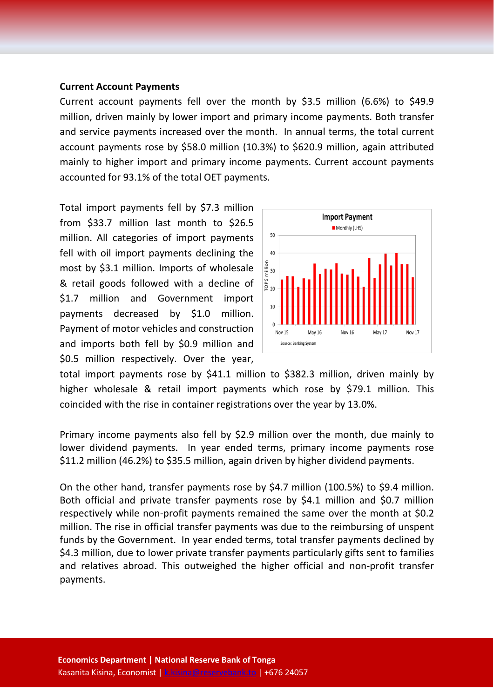#### **Current Account Payments**

Current account payments fell over the month by \$3.5 million (6.6%) to \$49.9 million, driven mainly by lower import and primary income payments. Both transfer and service payments increased over the month. In annual terms, the total current account payments rose by \$58.0 million (10.3%) to \$620.9 million, again attributed mainly to higher import and primary income payments. Current account payments accounted for 93.1% of the total OET payments.

Total import payments fell by \$7.3 million from \$33.7 million last month to \$26.5 million. All categories of import payments fell with oil import payments declining the most by \$3.1 million. Imports of wholesale & retail goods followed with a decline of \$1.7 million and Government import payments decreased by \$1.0 million. Payment of motor vehicles and construction and imports both fell by \$0.9 million and \$0.5 million respectively. Over the year,



total import payments rose by \$41.1 million to \$382.3 million, driven mainly by higher wholesale & retail import payments which rose by \$79.1 million. This coincided with the rise in container registrations over the year by 13.0%.

Primary income payments also fell by \$2.9 million over the month, due mainly to lower dividend payments. In year ended terms, primary income payments rose \$11.2 million (46.2%) to \$35.5 million, again driven by higher dividend payments.

On the other hand, transfer payments rose by \$4.7 million (100.5%) to \$9.4 million. Both official and private transfer payments rose by \$4.1 million and \$0.7 million respectively while non-profit payments remained the same over the month at \$0.2 million. The rise in official transfer payments was due to the reimbursing of unspent funds by the Government. In year ended terms, total transfer payments declined by \$4.3 million, due to lower private transfer payments particularly gifts sent to families and relatives abroad. This outweighed the higher official and non-profit transfer payments.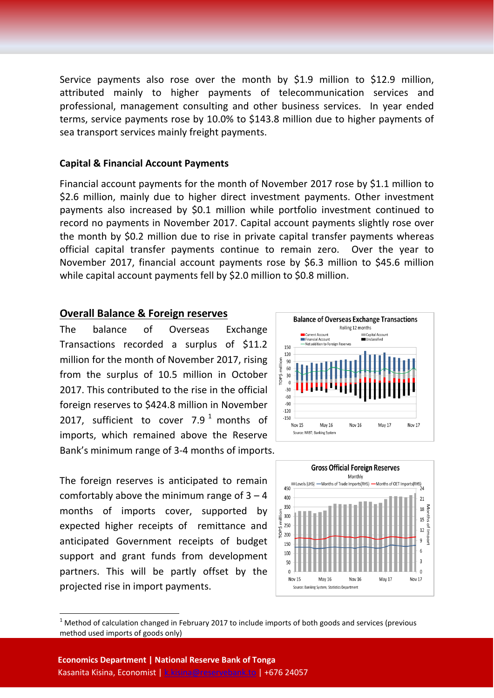Service payments also rose over the month by \$1.9 million to \$12.9 million, attributed mainly to higher payments of telecommunication services and professional, management consulting and other business services. In year ended terms, service payments rose by 10.0% to \$143.8 million due to higher payments of sea transport services mainly freight payments.

#### **Capital & Financial Account Payments**

Financial account payments for the month of November 2017 rose by \$1.1 million to \$2.6 million, mainly due to higher direct investment payments. Other investment payments also increased by \$0.1 million while portfolio investment continued to record no payments in November 2017. Capital account payments slightly rose over the month by \$0.2 million due to rise in private capital transfer payments whereas official capital transfer payments continue to remain zero. Over the year to November 2017, financial account payments rose by \$6.3 million to \$45.6 million while capital account payments fell by \$2.0 million to \$0.8 million.

#### **Overall Balance & Foreign reserves**

The balance of Overseas Exchange Transactions recorded a surplus of \$11.2 million for the month of November 2017, rising from the surplus of 10.5 million in October 2017. This contributed to the rise in the official foreign reserves to \$424.8 million in November 20[1](#page-4-0)7, sufficient to cover  $7.9<sup>1</sup>$  months of imports, which remained above the Reserve Bank's minimum range of 3-4 months of imports.

The foreign reserves is anticipated to remain comfortably above the minimum range of  $3 - 4$ months of imports cover, supported by expected higher receipts of remittance and anticipated Government receipts of budget support and grant funds from development partners. This will be partly offset by the projected rise in import payments.





<span id="page-4-0"></span> $1$  Method of calculation changed in February 2017 to include imports of both goods and services (previous method used imports of goods only)